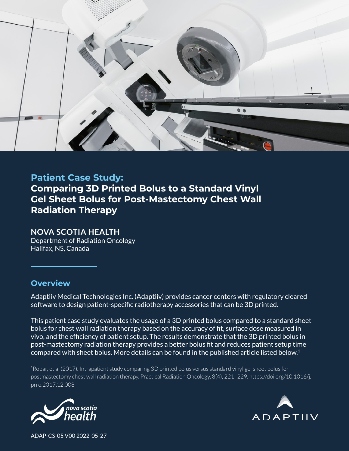

# **Patient Case Study: Comparing 3D Printed Bolus to a Standard Vinyl Gel Sheet Bolus for Post-Mastectomy Chest Wall Radiation Therapy**

#### **NOVA SCOTIA HEALTH**

Department of Radiation Oncology Halifax, NS, Canada

#### **Overview**

Adaptiiv Medical Technologies Inc. (Adaptiiv) provides cancer centers with regulatory cleared software to design patient-specific radiotherapy accessories that can be 3D printed.

This patient case study evaluates the usage of a 3D printed bolus compared to a standard sheet bolus for chest wall radiation therapy based on the accuracy of fit, surface dose measured in vivo, and the efficiency of patient setup. The results demonstrate that the 3D printed bolus in post-mastectomy radiation therapy provides a better bolus fit and reduces patient setup time compared with sheet bolus. More details can be found in the published article listed below. 1

<sup>1</sup>Robar, et al (2017). Intrapatient study comparing 3D printed bolus versus standard vinyl gel sheet bolus for postmastectomy chest wall radiation therapy. Practical Radiation Oncology, 8(4), 221–229. https://doi.org/10.1016/j. prro.2017.12.008





ADAP-CS-05 V00 2022-05-27 ADAP-CS-05 V00 2022-05-27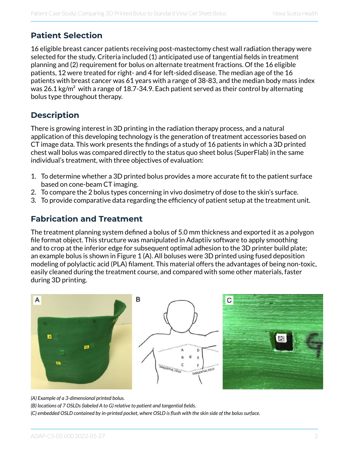## **Patient Selection**

16 eligible breast cancer patients receiving post-mastectomy chest wall radiation therapy were selected for the study. Criteria included (1) anticipated use of tangential fields in treatment planning and (2) requirement for bolus on alternate treatment fractions. Of the 16 eligible patients, 12 were treated for right- and 4 for left-sided disease. The median age of the 16 patients with breast cancer was 61 years with a range of 38-83, and the median body mass index was 26.1 kg/m<sup>2</sup> with a range of 18.7-34.9. Each patient served as their control by alternating bolus type throughout therapy.

## **Description**

There is growing interest in 3D printing in the radiation therapy process, and a natural application of this developing technology is the generation of treatment accessories based on CT image data. This work presents the findings of a study of 16 patients in which a 3D printed chest wall bolus was compared directly to the status quo sheet bolus (SuperFlab) in the same individual's treatment, with three objectives of evaluation:

- 1. To determine whether a 3D printed bolus provides a more accurate fit to the patient surface based on cone-beam CT imaging.
- 2. To compare the 2 bolus types concerning in vivo dosimetry of dose to the skin's surface.
- 3. To provide comparative data regarding the efficiency of patient setup at the treatment unit.

### **Fabrication and Treatment**

The treatment planning system defined a bolus of 5.0 mm thickness and exported it as a polygon file format object. This structure was manipulated in Adaptiiv software to apply smoothing and to crop at the inferior edge for subsequent optimal adhesion to the 3D printer build plate; an example bolus is shown in Figure 1 (A). All boluses were 3D printed using fused deposition modeling of polylactic acid (PLA) filament. This material offers the advantages of being non-toxic, easily cleaned during the treatment course, and compared with some other materials, faster during 3D printing.







*(A) Example of a 3-dimensional printed bolus.*

*(B) locations of 7 OSLDs (labeled A to G) relative to patient and tangential fields.*

*(C) embedded OSLD contained by in-printed pocket, where OSLD is flush with the skin side of the bolus surface.*